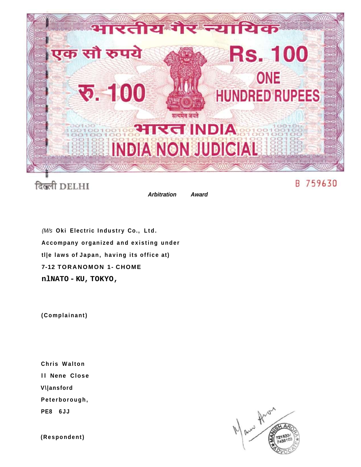

दिल्ली DELHI

**Arbitration** Award

(M/s Oki Electric Industry Co., Ltd. Accompany organized and existing under tlle laws of Japan, having its office at) 7-12 TORANOMON 1- CHOME nlNATO-KU, TOKYO,

(Complainant)

Chris Walton **Il Nene Close** V\|ansford Peterborough, PE8 6JJ



(Respondent)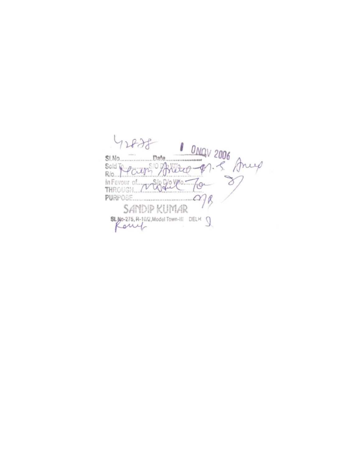SINO Date DAQV 2006<br>Sold Te pours Avillage P. S. Any 12825 HA Favour of welgebre To  $PURPOSE$ R SANDIP KUMAR SLNO-275, R-10/2, Model Town-III DELH 9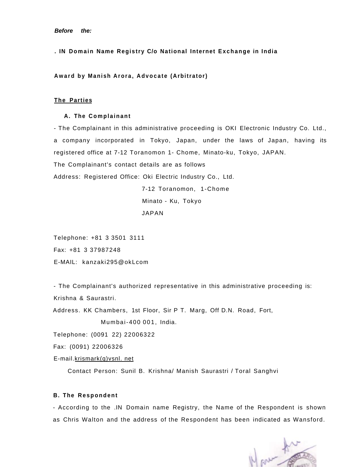**. IN Domain Name Registry C/o National Internet Exchange in India** 

**Awar d by Manish Arora , Advocat e (Arbitrator)** 

# **The Parties**

#### **A. The Complainant**

- The Complainant in this administrative proceeding is OKI Electronic Industry Co. Ltd., a company incorporated in Tokyo, Japan, under the laws of Japan, having its registered office at 7-12 Toranomon 1- Chome, Minato-ku, Tokyo, JAPAN. The Complainant's contact details are as follows

Address: Registered Office: Oki Electric Industry Co., Ltd.

7-12 Toranomon, 1-Chome Minato - Ku, Tokyo JAPAN

Telephone: +81 3 3501 3111 Fax: +81 3 37987248 E-MAIL: kanzaki295@okLcom

- The Complainant's authorized representative in this administrative proceeding is: Krishna & Saurastri.

Address. KK Chambers, 1st Floor, Sir P T. Marg, Off D.N. Road, Fort, Mumbai-400 001 , India.

Telephone: (0091 22) 22006322

Fax: (0091) 22006326

E-mail.krismark(g)vsnl. net

Contact Person: Sunil B. Krishna/ Manish Saurastri / Toral Sanghvi

# **B. The Respondent**

- According to the .IN Domain name Registry, the Name of the Respondent is shown as Chris Walton and the address of the Respondent has been indicated as Wansford.

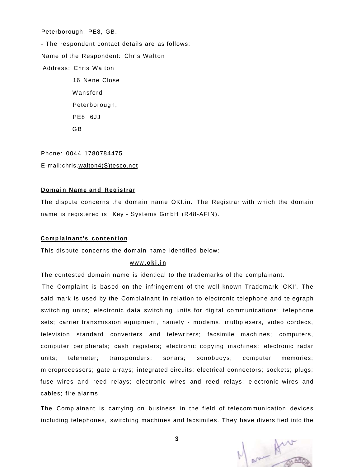Peterborough, PE8, GB.

- The respondent contact details are as follows: Name of the Respondent: Chris Walton Address: Chris Walton 16 Nene Close Wansford Peterborough, PE8 6JJ

GB

Phone: 0044 1780784475 E-mail:chris.walton4(S)tesco.net

#### **Domai n Name and Registrar**

The dispute concerns the domain name OKI.in. The Registrar with which the domain name is registered is Key - Systems GmbH (R48-AFIN).

### **Complainant's contention**

This dispute concerns the domain name identified below:

## www **[.oki.i](http://www.oki.in) n**

The contested domain name is identical to the trademarks of the complainant.

The Complaint is based on the infringement of the well-known Trademark 'OKI'. The said mark is used by the Complainant in relation to electronic telephone and telegraph switching units; electronic data switching units for digital communications; telephone sets; carrier transmission equipment, namely - modems, multiplexers, video cordecs, television standard converters and telewriters; facsimile machines; computers, computer peripherals; cash registers; electronic copying machines; electronic radar units; telemeter; transponders; sonars; sonobuoys; computer memories; microprocessors; gate arrays; integrated circuits; electrical connectors; sockets; plugs; fuse wires and reed relays; electronic wires and reed relays; electronic wires and cables; fire alarms.

The Complainant is carrying on business in the field of telecommunication devices including telephones, switching machines and facsimiles. They have diversified into the



**3**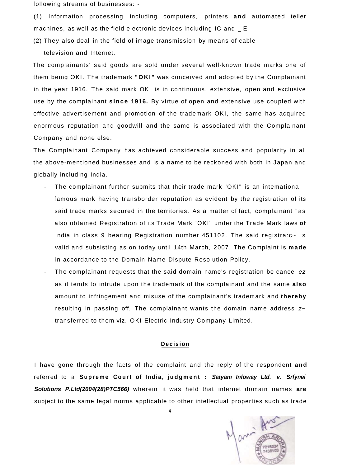following streams of businesses: -

(1) Information processing including computers, printers **and** automated teller machines, as well as the field electronic devices including IC and \_ E

(2) They also deal in the field of image transmission by means of cable television and Internet.

The complainants' said goods are sold under several well-known trade marks one of them being OKI. The trademark **"OKI "** was conceived and adopted by the Complainant in the year 1916. The said mark OKI is in continuous, extensive, open and exclusive use by the complainant since 1916. By virtue of open and extensive use coupled with effective advertisement and promotion of the trademark OKI, the same has acquired enormous reputation and goodwill and the same is associated with the Complainant Company and none else.

The Complainant Company has achieved considerable success and popularity in all the above-mentioned businesses and is a name to be reckoned with both in Japan and globally including India.

- The complainant further submits that their trade mark "OKI" is an intemationa famous mark having transborder reputation as evident by the registration of its said trade marks secured in the territories. As a matter of fact, complainant "as also obtained Registration of its Trade Mark "OKI" under the Trade Mark laws **of**  India in class 9 bearing Registration number 451102. The said registra:c~ s valid and subsisting as on today until 14th March, 2007. The Complaint is **made**  in accordance to the Domain Name Dispute Resolution Policy.
- The complainant requests that the said domain name's registration be cance ez as it tends to intrude upon the trademark of the complainant and the same **also**  amount to infringement and misuse of the complainant's trademark and **thereby**  resulting in passing off. The complainant wants the domain name address  $z \sim$ transferred to them viz. OKI Electric Industry Company Limited.

# **Decision**

I have gone through the facts of the complaint and the reply of the respondent **and**  referred to a Supreme Court of India, judgment : Satyam Infoway Ltd. v. Srfynei **Solutions P.Ltd(2004(28)PTC566)** wherein it was held that internet domain names **are**  subject to the same legal norms applicable to other intellectual properties such as trade



4